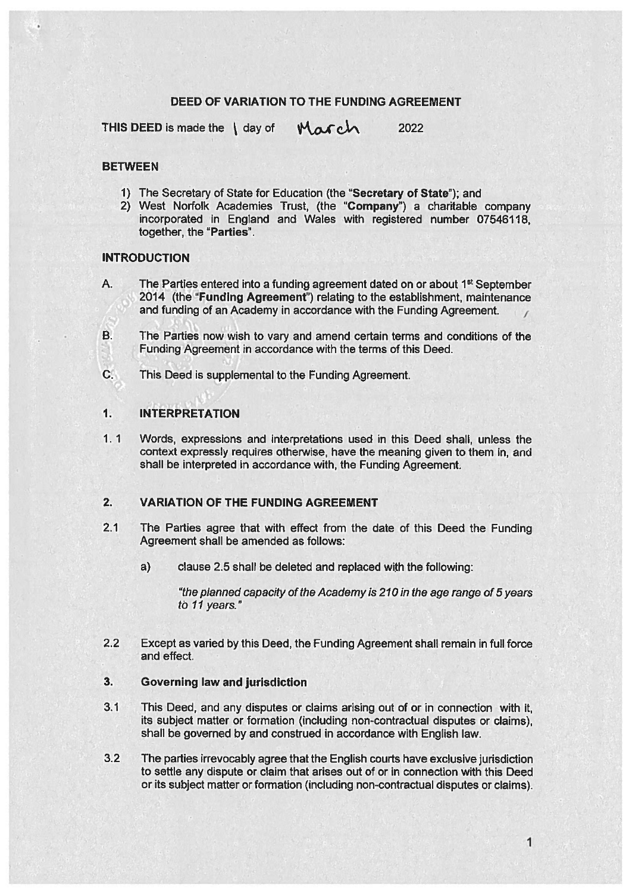## DEED OF VARIATION TO THE FUNDING AGREEMENT

THIS DEED is made the  $\int$  day of  $\int$   $\mathcal{M}$  c $\Lambda$  2022

## **BETWEEN**

- 1) The Secretary of State for Education (the "Secretary of State"); and
- 2) West Norfolk Academies Trust, (the "Company') <sup>a</sup> charitable company incorporated in England and Wales with registered number 07546118, together, the "Parties".

## INTRODUCTION

- A. The Parties entered into a funding agreement dated on or about 1<sup>st</sup> September 2014 (the "Funding Agreement') relating to the establishment, maintenance and funding of an Academy in accordance with the Funding Agreement.
- B. The Parties now wish to vary and amend certain terms and conditions of the Funding Agreement in accordance with the terms of this Deed.
- C. This Deed is supplemental to the Funding Agreement.

# 1. INTERPRETATION

1. 1 Words, expressions and interpretations used in this Deed shall, unless the context expressly requires otherwise, have the meaning given to them in, and shall be interpreted in accordance with, the Funding Agreement.

#### 2. VARIATION OF THE FUNDING AGREEMENT

- 2.1 The Parties agree that with effect from the date of this Deed the Funding Agreement shall be amended as follows:
	- a) clause 2.5 shall be deleted and replaced with the following:

"the planned capacity of the Academy is 210 in the age range of 5 years to 11 years."

2.2 Except as varied by this Deed, the Funding Agreement shall remain in full force and effect.

## 3. Governing law and jurisdiction

- 3.1 This Deed, and any disputes or claims arising out of or in connection with it, its subject matter or formation (including non-contractual disputes or claims), shall be governed by and construed in accordance with English law.
- 3.2 The parties irrevocably agree that the English courts have exclusive jurisdiction to settle any dispute or claim that arises out of or in connection with this Deed or its subject matter or formation (including non-contractual disputes or claims).